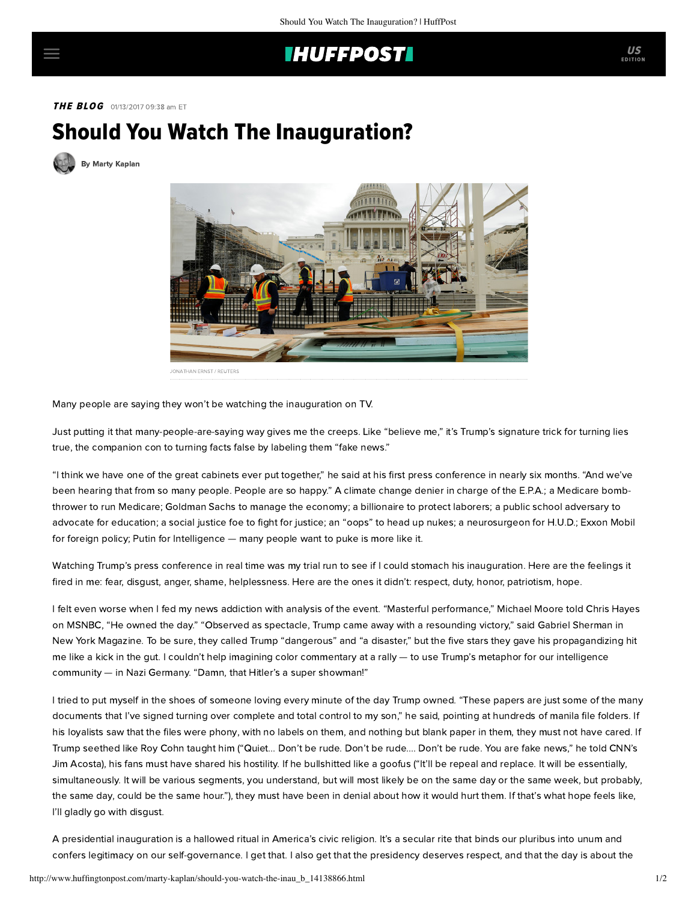## **IHUFFPOSTI**

**THE BLOG** 01/13/2017 09:38 am ET

## Should You Watch The Inauguration?





JONATHAN ERNST / REUTERS

Many people are saying they won't be watching the inauguration on TV.

Just putting it that many-people-are-saying way gives me the creeps. Like "believe me," it's Trump's signature trick for turning lies true, the companion con to turning facts false by labeling them "fake news."

"I think we have one of the great cabinets ever put together," he [said](https://www.nytimes.com/2017/01/11/us/politics/trump-press-conference-transcript.html?partner=socialflow&smid=tw-nytnational&smtyp=cur&_r=1) at his first press conference in nearly six months. "And we've been hearing that from so many people. People are so happy." A climate change denier in charge of the E.P.A.; a Medicare bombthrower to run Medicare; Goldman Sachs to manage the economy; a billionaire to protect laborers; a public school adversary to advocate for education; a social justice foe to fight for justice; an "oops" to head up nukes; a neurosurgeon for H.U.D.; Exxon Mobil for foreign policy; Putin for Intelligence — many people want to puke is more like it.

Watching Trump's press conference in real time was my trial run to see if I could stomach his inauguration. Here are the feelings it fired in me: fear, disgust, anger, shame, helplessness. Here are the ones it didn't: respect, duty, honor, patriotism, hope.

I felt even worse when I fed my news addiction with analysis of the event. "Masterful performance," Michael Moore [told](http://www.mediaite.com/tv/michael-moore-tells-msnbcs-chris-hayes-that-hillary-clinton-won-the-election/) Chris Hayes on MSNBC, "He owned the day." "Observed as spectacle, Trump came away with a resounding victory," [said](http://nymag.com/daily/intelligencer/2017/01/at-news-conference-trump-owns-the-press.html) Gabriel Sherman in New York Magazine. To be sure, they called Trump "dangerous" and "a disaster," but the five stars they gave his propagandizing hit me like a kick in the gut. I couldn't help imagining color commentary at a rally — to use Trump's [metaphor](http://www.nydailynews.com/news/politics/trump-nazi-germany-tweet-doesn-article-1.2943473) for our intelligence community — in Nazi Germany. "Damn, that Hitler's a super showman!"

I tried to put myself in the shoes of someone loving every minute of the day Trump owned. "These papers are just some of the many documents that I've signed turning over complete and total control to my son," he said, pointing at hundreds of manila file folders. If his loyalists saw that the [files were phony,](https://twitter.com/i/moments/819550757095698436) with no labels on them, and nothing but [blank paper](http://www.latimes.com/nation/la-na-trump-news-conference-scene-20170111-story.html) in them, they must not have cared. If Trump seethed like [Roy Cohn](https://www.nytimes.com/2016/06/21/us/politics/donald-trump-roy-cohn.html?_r=1) taught him ("Quiet... Don't be rude. Don't be rude.... Don't be rude. You are fake news," he told CNN's Jim Acosta), his fans must have shared his hostility. If he bullshitted like a goofus ("It'll be repeal and replace. It will be essentially, simultaneously. It will be various segments, you understand, but will most likely be on the same day or the same week, but probably, the same day, could be the same hour."), they must have been in denial about how it would hurt them. If that's what hope feels like, I'll gladly go with disgust.

A presidential inauguration is a hallowed ritual in America's civic religion. It's a secular rite that binds our pluribus into unum and confers legitimacy on our self-governance. I get that. I also get that the presidency deserves respect, and that the day is about the